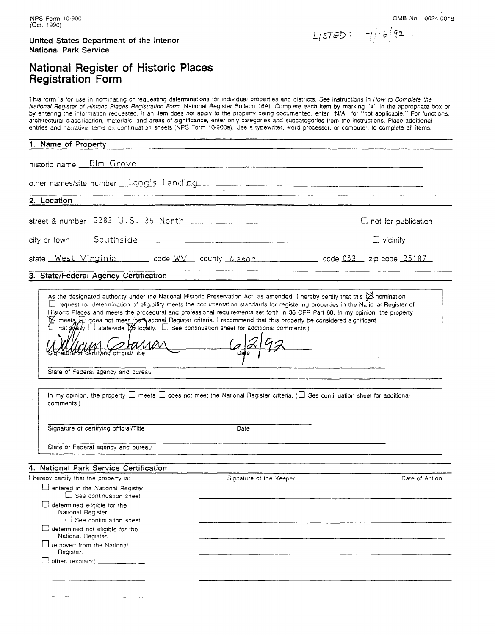OMB No. 10024-0018

 $L(STED: 7/16)$  92.

### **National Register of Historic Places Registration** Form

This form is for use in nominating or requesting determinations for individual properties and districts. See instructions in How to Complete the National Register of Historic Places Registration Form (National Register Bulletin 16A). Complete each item by marking "x" in the appropriate box or by entering the information requested. If an item does not apply to the property being documented, enter "N/A" for "not applicable." For functions, architectural classification, materials, and areas of significance, enter only categories and subcategories from the instructions. Place additional entries and narrative items on continuation sheers (NPS Form 10-900a). Use a typewriter, 'word processor, or computer, to complete all items.

#### **1. Name of Property**

historic name Elm Grove 

other names/site number Long's Landing

**2. Location** 

street & number  $2283$  U.S. 35 North C 2008 C not for publication

city or town Southside C vicinity

state West Virginia code W. county Mason<br>3. State/Federal Agency Certification<br>4. State Sesignated authority under the National Historic Preservation Act, as amended, I hereby certify that this  $\cancel{\times}$  nomination

#### **3. State/Federal Agency Certification**

As the designated authority under the National Historic Preservation Act, as amended, I hereby certify that this  $\mathbb B$  nomination G request for determination of eligibility meets the documentation standards for registering properties in the National Register of Historic Places and meets the procedural and professional requirements set forth in 36 CFR meets a does not meet the National Register criteria. I recommend that this property be considered significant

national statewide  $\cancel{\mathcal{V}}$  locally. ( $\square$  See continuation sheet for additional comments.)

stara tityind official/Title

State of Federal agency and bureau

| comments.)                             | In my opinion, the property $\square$ meets $\square$ does not meet the National Register criteria. ( $\square$ See continuation sheet for additional |  |
|----------------------------------------|-------------------------------------------------------------------------------------------------------------------------------------------------------|--|
| Signature of certifying official/Title | Date                                                                                                                                                  |  |
| State or Federal agency and bureau     |                                                                                                                                                       |  |

#### **4. National Park Service Certification**

| Dentered in the National Register.<br>$\Box$ See continuation sheet.<br>determined eligible for the<br>National Register<br>See continuation sheet.<br>determined not eligible for the<br>National Register.<br>$\Box$ removed from the National<br>Register.<br>$\Box$ other, (explain:) ____________ | hereby certify that the property is: | Signature of the Keeper | Date of Action |
|--------------------------------------------------------------------------------------------------------------------------------------------------------------------------------------------------------------------------------------------------------------------------------------------------------|--------------------------------------|-------------------------|----------------|
|                                                                                                                                                                                                                                                                                                        |                                      |                         |                |
|                                                                                                                                                                                                                                                                                                        |                                      |                         |                |
|                                                                                                                                                                                                                                                                                                        |                                      |                         |                |
|                                                                                                                                                                                                                                                                                                        |                                      |                         |                |
|                                                                                                                                                                                                                                                                                                        |                                      |                         |                |
|                                                                                                                                                                                                                                                                                                        |                                      |                         |                |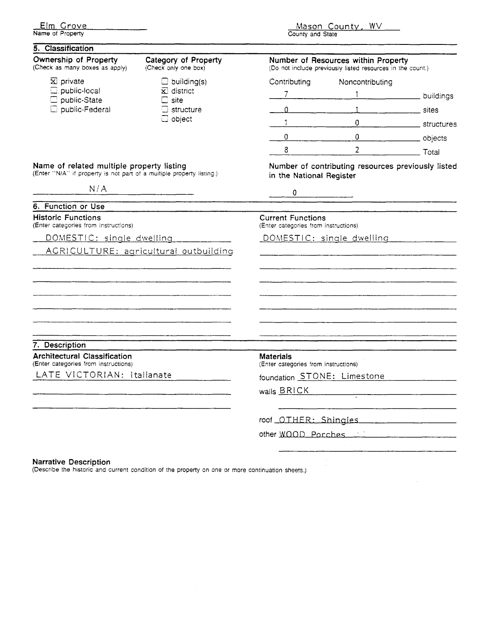|                  | <u>Elm Grove</u> |
|------------------|------------------|
| Name of Property |                  |

<u>Mason County, WV</u> County and State

| 5. Classification                                                                                                  |                                                   |                                                                     |                                                                                                   |            |
|--------------------------------------------------------------------------------------------------------------------|---------------------------------------------------|---------------------------------------------------------------------|---------------------------------------------------------------------------------------------------|------------|
| Ownership of Property<br>(Check as many boxes as apply)                                                            | Category of Property<br>(Check only one box)      |                                                                     | Number of Resources within Property<br>(Do not include previously listed resources in the count.) |            |
| $\boxtimes$ private                                                                                                | $\Box$ building(s)                                | Contributing                                                        | Noncontributing                                                                                   |            |
| $\square$ . public-local                                                                                           | $\mathbf{\Sigma}$ district                        | $\overline{7}$                                                      |                                                                                                   | buildings  |
| public-State<br>$\square$ public-Federal                                                                           | $\Box$ site.<br>$\Box$ structure<br>$\Box$ object | 0                                                                   |                                                                                                   | sites      |
|                                                                                                                    |                                                   | 1                                                                   | $\theta$                                                                                          | structures |
|                                                                                                                    |                                                   | 0                                                                   | $\overline{0}$                                                                                    | objects    |
|                                                                                                                    |                                                   | 8                                                                   | $\overline{2}$                                                                                    | Total      |
| Name of related multiple property listing<br>(Enter "N/A" if property is not part of a multiple property listing.) |                                                   | in the National Register                                            | Number of contributing resources previously listed                                                |            |
| N/A                                                                                                                |                                                   | 0                                                                   |                                                                                                   |            |
| 6. Function or Use                                                                                                 |                                                   |                                                                     |                                                                                                   |            |
| <b>Historic Functions</b><br>(Enter categories from instructions)                                                  |                                                   | <b>Current Functions</b><br>(Enter categories from instructions)    |                                                                                                   |            |
| DOMESTIC: single dwelling                                                                                          |                                                   |                                                                     | DOMESTIC: single dwelling                                                                         |            |
|                                                                                                                    | AGRICULTURE: agricultural outbuilding             |                                                                     |                                                                                                   |            |
| 7. Description                                                                                                     |                                                   |                                                                     |                                                                                                   |            |
| <b>Architectural Classification</b>                                                                                |                                                   | <b>Materials</b>                                                    |                                                                                                   |            |
| (Enter categories from instructions)<br>LATE VICTORIAN: Italianate                                                 |                                                   | (Enter categories from instructions)<br>foundation STONE: Limestone |                                                                                                   |            |
|                                                                                                                    |                                                   |                                                                     |                                                                                                   |            |
|                                                                                                                    |                                                   | walls <b>BRICK</b>                                                  |                                                                                                   |            |
|                                                                                                                    |                                                   |                                                                     | roof OTHER: Shingles                                                                              |            |
|                                                                                                                    |                                                   |                                                                     | other WOOD Porches                                                                                |            |
|                                                                                                                    |                                                   |                                                                     |                                                                                                   |            |
| <b>Narrative Description</b>                                                                                       |                                                   |                                                                     |                                                                                                   |            |

(Describe the historic and current condition of the property on one or more continuation sheets.)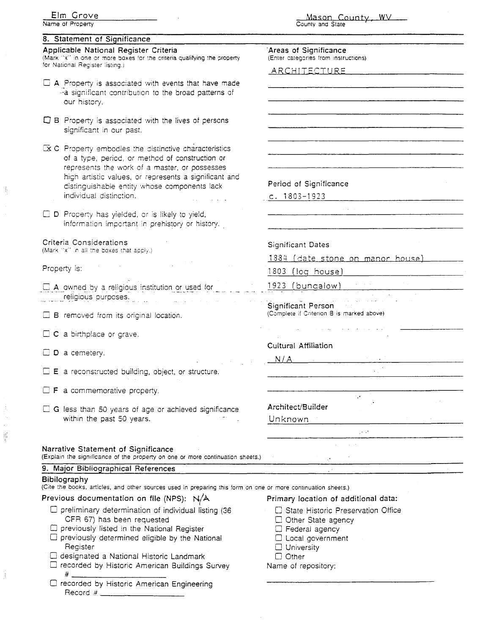| Elm Grove                                                                                                             | Mason County, WV                                                  |  |
|-----------------------------------------------------------------------------------------------------------------------|-------------------------------------------------------------------|--|
| Name of Property                                                                                                      | County and State                                                  |  |
| 8. Statement of Significance                                                                                          |                                                                   |  |
| Applicable National Register Criteria<br>(Mark "x" in one or more boxes for the criteria qualifying the property      | Areas of Significance<br>(Enter categories from instructions)     |  |
| for National Register listing.)                                                                                       | ARCHITECTURE                                                      |  |
| $\Box$ A. Property is associated with events that have made                                                           |                                                                   |  |
| -- a significant contribution to the broad patterns of                                                                |                                                                   |  |
| our history.                                                                                                          |                                                                   |  |
| $\Box$ B. Property is associated with the lives of persons                                                            |                                                                   |  |
| significant in our past.                                                                                              |                                                                   |  |
| $\mathbb{R}$ C. Property embodies the distinctive characteristics                                                     |                                                                   |  |
| of a type, period, or method of construction or                                                                       |                                                                   |  |
| represents the work of a master, or possesses<br>high artistic values, or represents a significant and                |                                                                   |  |
| distinguishable entity whose components lack                                                                          | Period of Significance                                            |  |
| individual distinction.                                                                                               | c. $1803 - 1923$                                                  |  |
| □ D Property has yielded, or is likely to yield,                                                                      |                                                                   |  |
| information important in prehistory or history.                                                                       |                                                                   |  |
| Criteria Considerations                                                                                               |                                                                   |  |
| (Mark "x" in all the boxes that apply.)                                                                               | <b>Significant Dates</b>                                          |  |
| Property is:                                                                                                          | 1884 (date stone on manor house)                                  |  |
|                                                                                                                       | $1803$ (log house)                                                |  |
| $\Box$ A owned by a religious institution or used for<br>religious purposes.                                          | 1923 (bungalow)                                                   |  |
|                                                                                                                       | Significant Person                                                |  |
| $\Box$ B removed from its original location.                                                                          | (Complete if Criterion B is marked above).                        |  |
| $\Box$ C a birthplace or grave.                                                                                       |                                                                   |  |
|                                                                                                                       | <b>Cultural Affiliation</b>                                       |  |
| D a cemetery.                                                                                                         | N/A                                                               |  |
| $\Box$ E a reconstructed building, object, or structure.                                                              |                                                                   |  |
| F a commemorative property.                                                                                           |                                                                   |  |
|                                                                                                                       | υ,                                                                |  |
| $\Box$ G less than 50 years of age or achieved significance                                                           | Architect/Builder                                                 |  |
| within the past 50 years.                                                                                             | Unknown                                                           |  |
|                                                                                                                       | <b>SALE</b>                                                       |  |
| Narrative Statement of Significance<br>(Explain the significance of the property on one or more continuation sheets.) |                                                                   |  |
| 9. Major Bibliographical References                                                                                   |                                                                   |  |
| <b>Bibilography</b>                                                                                                   |                                                                   |  |
| (Cite the books, articles, and other sources used in preparing this form on one or more continuation sheets.)         |                                                                   |  |
| Previous documentation on file (NPS): N/A                                                                             | Primary location of additional data:                              |  |
| $\Box$ preliminary determination of individual listing (36<br>CFR 67) has been requested                              | □ State Historic Preservation Office<br>$\Box$ Other State agency |  |
| $\Box$ previously listed in the National Register                                                                     | $\square$ Federal agency                                          |  |
| $\Box$ previously determined eligible by the National                                                                 | $\Box$ Local government                                           |  |
| Register<br>a designated a National Historic Landmark                                                                 | $\Box$ University<br>$\Box$ Other                                 |  |
| □ recorded by Historic American Buildings Survey                                                                      | Name of repository:                                               |  |
| □ recorded by Historic American Engineering                                                                           |                                                                   |  |
|                                                                                                                       |                                                                   |  |

 $\frac{1}{2}$ 

 $\frac{1}{2}$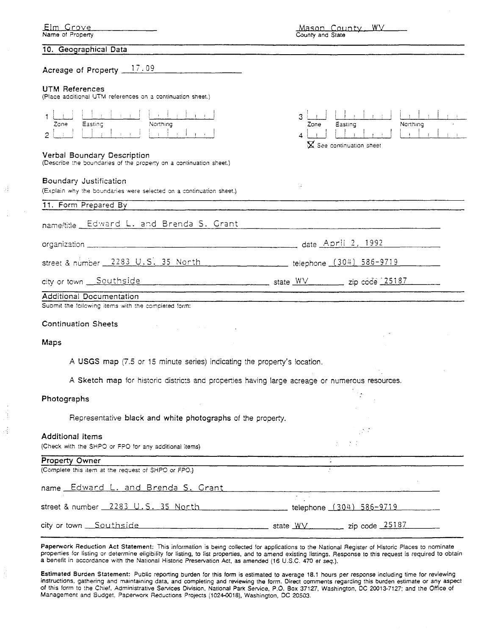| <u>Elm Grove</u><br>Name of Property                                                                                                                                                                                                                                                                   | Mason County, WV<br>County and State                                                                                            |
|--------------------------------------------------------------------------------------------------------------------------------------------------------------------------------------------------------------------------------------------------------------------------------------------------------|---------------------------------------------------------------------------------------------------------------------------------|
| 10. Geographical Data                                                                                                                                                                                                                                                                                  |                                                                                                                                 |
| Acreage of Property 17.09                                                                                                                                                                                                                                                                              |                                                                                                                                 |
| UTM References<br>(Place additional UTM references on a continuation sheet.)                                                                                                                                                                                                                           |                                                                                                                                 |
| <b>Contract</b><br>Easting<br>Northing<br>Zone<br>$\mathcal{L}$ . The state of the state of the state of the state of the state of the state of the state of the state of the state of the state of the state of the state of the state of the state of the state of the state of th<br>$\overline{2}$ | 3<br>Northing<br>Easting<br>Zone<br>$\sim 10^{-11}$<br>$\sim 1$<br>$\blacktriangle$<br>$\mathbf{\Sigma}$ See continuation sheet |
| Verbal Boundary Description<br>(Describe the boundaries of the property on a continuation sheet.)                                                                                                                                                                                                      |                                                                                                                                 |
| Boundary Justification<br>(Explain why the boundaries were selected on a continuation sheet.)                                                                                                                                                                                                          | 11                                                                                                                              |
| 11. Form Prepared By                                                                                                                                                                                                                                                                                   |                                                                                                                                 |
| name/title Edward L. and Brenda S. Grant                                                                                                                                                                                                                                                               |                                                                                                                                 |
|                                                                                                                                                                                                                                                                                                        |                                                                                                                                 |
| street & number 2283 U.S. 35 North telephone (304) 586-9719                                                                                                                                                                                                                                            |                                                                                                                                 |
|                                                                                                                                                                                                                                                                                                        |                                                                                                                                 |
| Additional Documentation<br>Submit the following items with the completed form:                                                                                                                                                                                                                        |                                                                                                                                 |
|                                                                                                                                                                                                                                                                                                        |                                                                                                                                 |
| <b>Continuation Sheets</b>                                                                                                                                                                                                                                                                             |                                                                                                                                 |
| Maps                                                                                                                                                                                                                                                                                                   |                                                                                                                                 |
| A USGS map (7.5 or 15 minute series) indicating the property's location.                                                                                                                                                                                                                               |                                                                                                                                 |
| A Sketch map for historic districts and properties having large acreage or numerous resources.                                                                                                                                                                                                         |                                                                                                                                 |
| Photographs                                                                                                                                                                                                                                                                                            |                                                                                                                                 |
| Representative black and white photographs of the property.                                                                                                                                                                                                                                            |                                                                                                                                 |
| <b>Additional items</b>                                                                                                                                                                                                                                                                                | $-2.7$                                                                                                                          |
| (Check with the SHPO or FPO for any additional items)                                                                                                                                                                                                                                                  |                                                                                                                                 |
| <b>Property Owner</b><br>(Complete this item at the request of SHPO or FPO.)                                                                                                                                                                                                                           |                                                                                                                                 |
| name Edward L. and Brenda S. Grant                                                                                                                                                                                                                                                                     |                                                                                                                                 |
| street & number 2283 U.S. 35 North                                                                                                                                                                                                                                                                     | $\mathcal{F}^{\mathcal{F}}$ and $\mathcal{F}^{\mathcal{F}}$<br>_________________ telephone <u>(304) 586-9719</u> __________     |
| city or town Southside                                                                                                                                                                                                                                                                                 | $\frac{1}{25187}$ state $\frac{WV}{25187}$ zip code 25187                                                                       |

3Í

ă Ą

> Paperwork Reduction Act Statement: This information is being collected for applications to the National Register of Historic Places to nominate properties for listing or determine eligibility for listing, to list properties, and to amend existing listings. Response to this request is required to obtain a benefit in accordance with the National Historic Preservation Act, **as** amended (16 U.S.C. 470 **et seq.).**

> Estimated Burden Statement: Public reporting burden for this form is estimated to average 18.1 hours per response including time for reviewing instructions, gathering and maintaming data, and completing and reviewing the form. Direct comments regarding this burden estimate or any aspect of this form to the Chief, Administrative Services Division, National Park Service, P.O. Box 37127, Washington, DC 20013-7127; and the Office of Management and Budget, Paperwork Reductions Projects (1024-0018), Washington, DC 20503.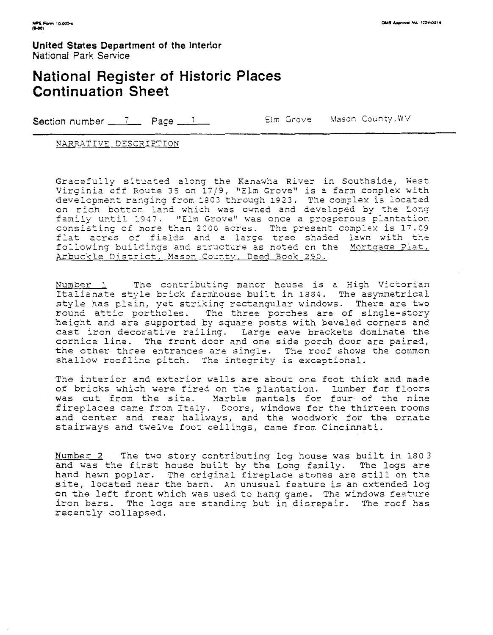### **National Register of Historic Places Continuation Sheet**

Section number 7 Page 1 Elm Grove Mason County, WV

NARRATIVE DESCRIPTION

Gracefully situated along the Kanawha River in Southside, West Virginia off Route 35 on **1719,** "Elm Grove" is a farm complex with development ranging from 1803 through 1923. The complex is located on rich bottom land which was owned and developed by the Long family until 1947. "Eln Grove" was once a prosperous plantation consisting of more than 2000 acres. The present complex is 17.09 flat acres of fields and a large tree shaded lawn with the following buildings and structure as noted on the Mortgage Plat, Arbuckle District, Mason County, Deed Book 290.

Number 1 The contributing manor house is a High Victorian Italianate style brick farmhouse built in 1884. The asymmetrical style has plain, yet striking rectangular windows. There are two round attic portholes. The three porches are of single-story height and are supported by square posts with beveled corners and cast iron decorative railing. Large eave brackets dominate the cornice line. The front door and one side porch door are paired, the other three entrances are single. The roof shows the common shallow roofline pitch. The integrity is exceptional.

The interior and exterior walls are about one foot thick and made of bricks which were fired on the plantation. Lumber for floors was cut from the site. Marble mantels for four of the nine fireplaces came from Italy. Doors, windows for the thirteen rooms and center and rear hallways, and the woodwork for the ornate stairvays and twelve foot ceilings, came from Cincinnati.

Number 2 The two story contributing log house was built in 1803 and was the first house built by the Long family. The logs are hand hewn poplar. The original fireplace stones are still on the site, located near the barn. An unusual feature is an extended log on the left front which was used to hang game. The windows feature iron bars. The logs are standing but in disrepair. The roof has recently collapsed.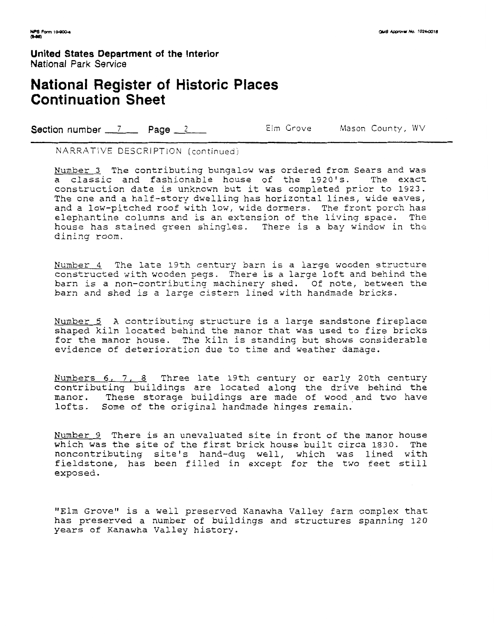## **National Register of Historic Places Continuation Sheet**

Section number 7 Page 2 Elm Grove Mason County, WV

NARRATIVE DESCRIPTiON (continued)

Number 3 The contributing bungalow was ordered from Sears and was **a** classic and fashionable house of the 1920's. The exact construction date is unknown but it was completed prior to 1923. The one and a half-story dwelling has horizontal lines, wide eaves, and a low-pitched roof with low, wide dormers. The front porch has elephantine columns and is an extension of the living space. The house has stained green shingles. There is a bay window in the dining room.

Number 4 The late 19th century barn is a large wooden structure constructed with wooden pegs. There is a large loft and behind the barn is a non-contributing machinery shed. Of note, between the barn and shed is a larqe cistern lined with handmade bricks.

Number 5 A contributing structure is a large sandstone fireplace shaped kiln located behind the manor that was used to fire bricks for the manor house. The kiln is standing but shows considerable evidence of deterioration due to time and weather damage.

Numbers **6,** *7.* 8 Three late 19th century or early 20th century contributing buildings are located along the drive behind the manor. These storage buildings are made of wood and two have lofts. Some of **the** original handmade hinges remain.

Number 9 There is an unevaluated site in front of the manor house which was the site of the first brick house built circa 1830. The noncontributing site's hand-dug well, which was lined with fieldstone, has been filled in except for the two feet still exposed.

"Elm Grove" is a well preserved Kanawha Valley farm complex that has preserved a number of buildings and structures spanning **120**  years of Kanawha Valley history.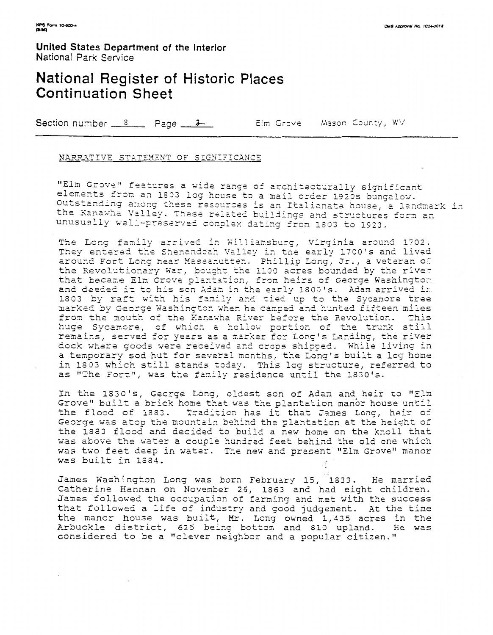## **National Register of Historic Places Continuation Sheet**

Section number  $\frac{8}{2}$  Page  $\frac{3}{2}$ Elm Grove Mason County, WV

#### NARRATIVE STATEMENT OF SIGNIFICANCE

"Elm Grove" features a wide range of architecturally significant elements from an 1803 log house to a mail order 1920s bungalow. Outstanding among these resources is an Italianate house, a landmark in the Kanawha Valley. These related buildings and structures form an unusually well-preserved complex dating from 1803 to 1923.

The Long family arrived in Williamsburg, Virginia around 1702. They entered the Shenandoah Valley in the early 1700's and lived around Fort Long near Massanutten. Phillip Long, Jr., a veteran of the Revolutionary War, bought the 1100 acres bounded by the river that became Elm Grove plantation, from heirs of George Washington and deeded it to his son Adam in the early 1800's. Adam arrived in 1803 by raft with his family and tied up to the Sycamore tree marked by George Washington when he camped and hunted fifteen miles from the mouth of the Kanawha River before the Revolution. This huge Sycamore, of which a hollow portion of the trunk still remains, served for years as a marker for Long's Landing, the river dock where goods were received and crops shipped. While living in a temporary sod hut for several months, the Long's built a log home in 1803 which still stands today. This log structure, referred to as "The Fort", was the family residence until the 1830's.

In the 1830's, George Long, oldest son of Adam and heir to "Elm Grove" built a brick home that was the plantation manor house until the flood of 1333. Tradition has it that James Long, heir of George was atop the mountain behind the plantation at the height of the 1883 flood and decided to build a new home on the knoll that was above the water a couple hundred feet behind the old one which was two feet deep in water. The new and present "Elm Grove" manor was built in 1884.

James Washington Long was born February 15, 1833. He married Catherine Hannan on November 26, 1863 and had eight children. James followed the occupation of farming and met with the success that followed a life of industry and good judgement. At the time the manor house was built, Mr. Long owned 1,435 acres in the Arbuckle district, 625 being bottom and 810 upland. He was considered to be a "clever neighbor and a popular citizen."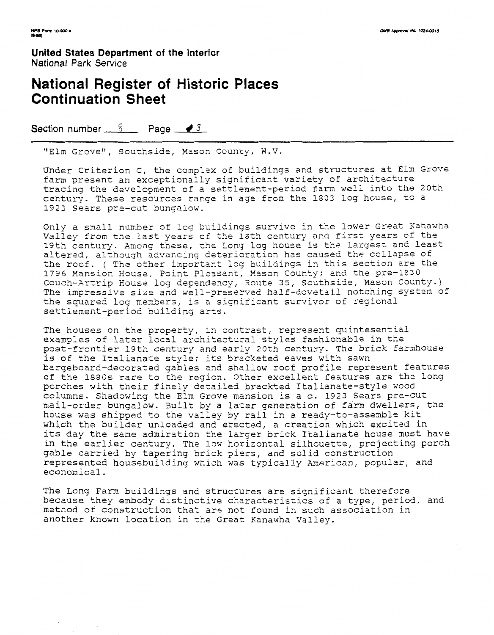--

**United States Department of the Interior**  National Park Service

### **National Register of Historic Places Continuation Sheet**

Section number  $8$  Page  $\sqrt{3}$ 

"Elm Grove", Southside, Mason County, W.V.

Under Criterion C, the complex of buildings and structures at Elm Grove fam present an exceptionally significant variety of architecture tracing the development of a settlement-period farm well into the 20th century. These resources range in age from the 1803 log house, to a **1923** Sears pre-cut bungalow.

Only a small number of log buildings survive in the lower Great Kanawha Valley from the last years of the lath century and first years of the 19th century. Among these, the Long log house is the largest and least altered, although advancing deterioration has caused the collapse of the roof. ( The other important log buildings in this section are the 1796 Mansion House, Point Pleasant, Mason County; and the pre-1830 Couch-Artrip House log dependency, Route 35, southside, Mason County.) The impressive size and well-preserved half-dovetail notching system of the squared log members, is a significant survivor of regional settlement-period building arts.

The houses on the property, in contrast, represent quintesential examples of later local architectural styles fashionable in the post-frontier 19th century and early 20th century. The brick farmhouse is of the Italianate style; its bracketed eaves with sawn bargeboard-decorated gables and shallow roof profile represent features of the 1880s rare to the region. Other excellent features are the long porches with their finely detailed brackted Italianate-style wood columns. Shadowing the Elm Grove mansion is a c. 1923 Sears pre-cut mail-order bungalow. Built by a later generation of farm dwellers, the house was shipped to the valley by rail in a ready-to-assemble kit which the builder unloaded and erected, a creation which excited in its day the same admiration the larger brick Italianate house must have in the earlier century. The low horizontal silhouette, projecting porch gable carried by tapering brick piers, and solid construction represented housebuilding which was typically American, popular, and economical.

The Long Farm buildings and structures are significant therefore because they embody distinctive characteristics of a type, period, and method of construction that are not found in such association in another known location in the Great Kanawha Valley.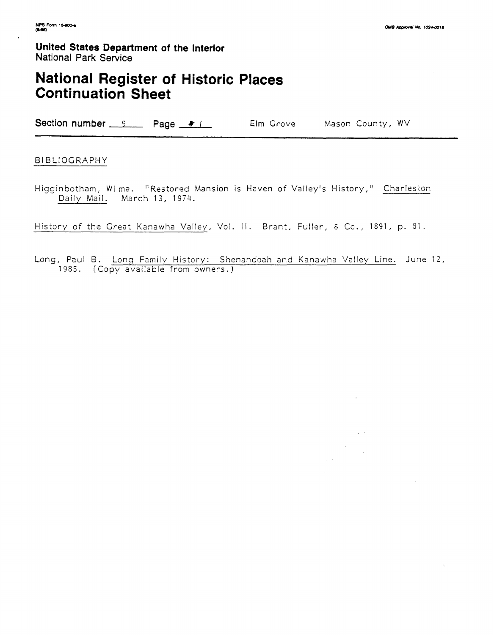$\hat{\mathbf{z}}$ 

 $\sqrt{2}$ 

 $\alpha_{\rm{max}} \sim 10$ 

**United States Department of the Interior**  National Park **Service** 

# **National Register of Historic Places Continuation Sheet**

Section number 9 Page # 1 Elm Grove Mason County, WV

#### BIBLIOGRAPHY

Higginbotham, Wilma. "Restored Mansion is Haven of Valley's History," Charleston Dailv Mail. March 13. 1974.

History of the Great Kanawha Valley, Vol. II. Brant, Fuller, & Co., 1891, p. 81.

Long, Paul B. Long Family History: Shenandoah and Kanawha Valley Line. June 12, 1985. (Copy available from owners.)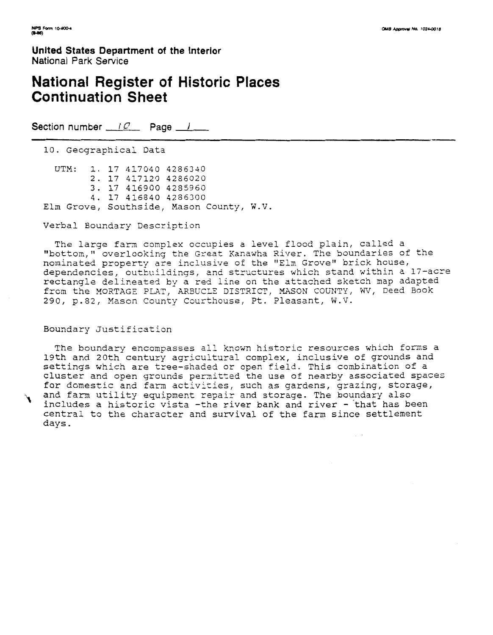### **National Register of Historic Places Continuation Sheet**

Section number iQ Page *I* **P** 

10. Geographical Data

UTM: 1. 17 417040 4286340 2. 17 417120 4286020 3. 17 416900 4285960 4. 17 416840 4286300 Elm Grove, Southside, Mason County, W.V.

Verbal Boundary Description

The large farn complex occupies a level flood plain, called a "bottom," overlooking the Great Xanawha River. The boundaries of the nominated property are inclusive of the "Elm Grove" brick house, dependencies, outbuildings, 2nd structures which stand within a 17-acre rectangle delineated by a red line on the attached sketch map adapted from the MORTAGE PLAT, ARBUCLE DISTRICT, MASON COUNTY, WV, Deed Book 290, p.82, Mason County Courthouse, Pt. Pleasant, W.V.

#### Boundary justification

The boundary encompasses all known historic resources which forms a 19th and 20th century agricultural complex, inclusive of grounds and settings which are tree-shaded or open field. This combination of a cluster and open grounds permitted the use of nearby associated spaces for domestic and farm activities, such as gardens, grazing, storage, and farm utility equipment repair and storage. The boundary also includes a historic vista -the river bank and river - that has been central to the character and survival of the farm since settlement days.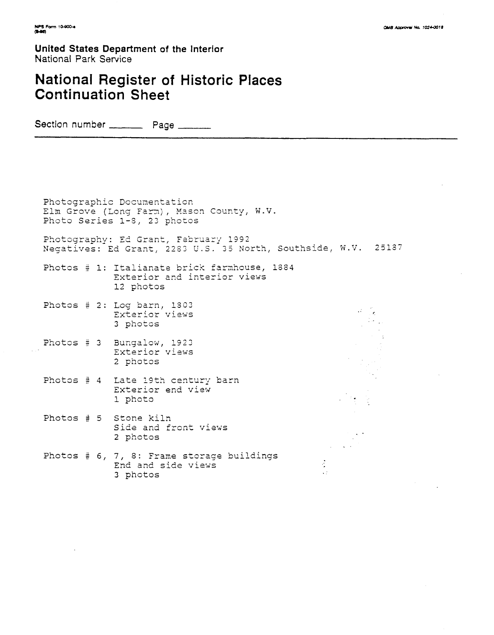# **National Register of Historic Places Continuation Sheet**

Section number \_\_\_\_\_\_\_\_\_ Page \_\_\_\_\_\_\_

Photographic Dccunentaticn Elm Grove (Long Farm), Mason County, W.V. Photo Series 1-8, 23 photos Photography: Ed Grant, February 1992 Negatives: Ed Grant, 2263 U.S. 35 North, Southside, W.V. 25127 Photos # 1: Italianate brick farahouse, 1884 Exterior and interior views 12 photos Photos # 2: Log barn, 1303  $\omega = \frac{1}{2}$ Exterior views 3 photcs Photos # 3 Bungalow, 1923 Exterior visws 2 photos Photos # 4 Late 19th century barn Exterior end view 1 photo Photos # 5 Stone kiln Side and front views 2 pnotos Photos # **6,** 7, 8: Frame storage buildings  $\frac{1}{2}$ End and side views  $\sqrt{2}$ 3 photos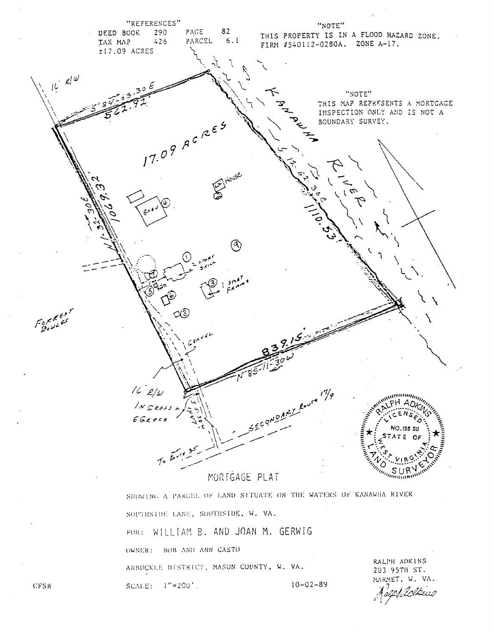

SOUTHSTDE LANE, SOUTHSTDE, W. VA. FOR: WILLIAM B. AND JOAN M. GERWIG OWNER: BOB AND ANN CASTO RALPH ADKINS ARBUCKLE DISTRICT, MASON COUNTY, W. VA. 203 95TH ST. MARMET, W. VA. SCALE:  $1" = 200'$ .  $10 - 02 - 89$ 

**CFSB**